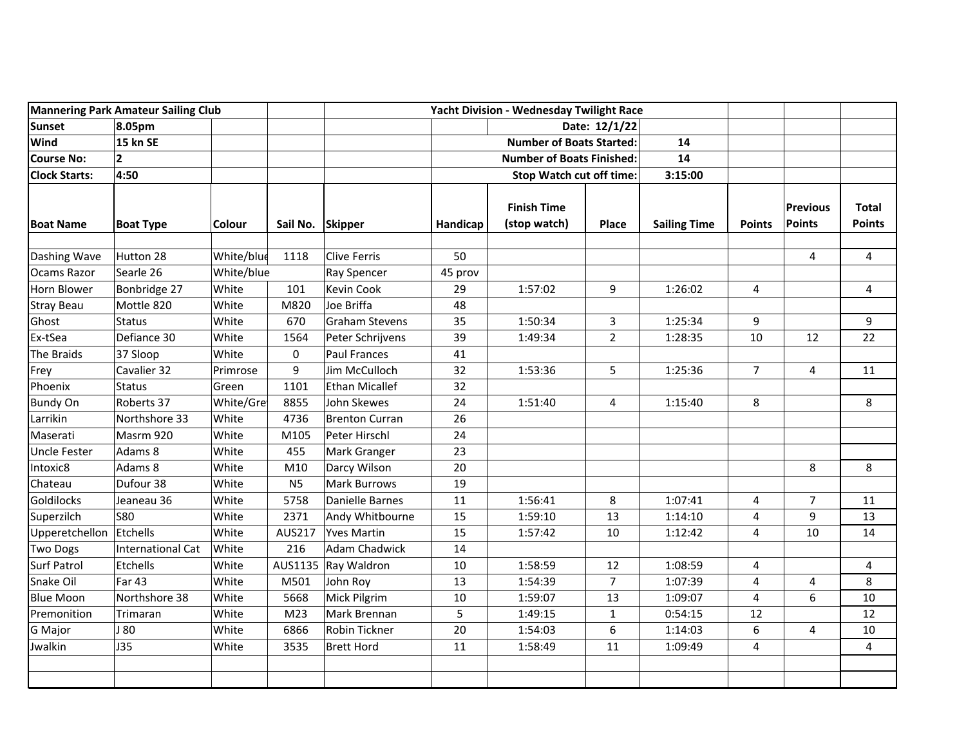| <b>Mannering Park Amateur Sailing Club</b> |                          |               |                  | Yacht Division - Wednesday Twilight Race |                                  |                                    |                |                     |                |                           |                               |
|--------------------------------------------|--------------------------|---------------|------------------|------------------------------------------|----------------------------------|------------------------------------|----------------|---------------------|----------------|---------------------------|-------------------------------|
| <b>Sunset</b>                              | 8.05pm                   |               |                  |                                          | Date: 12/1/22                    |                                    |                |                     |                |                           |                               |
| <b>Wind</b>                                | <b>15 kn SE</b>          |               |                  |                                          | <b>Number of Boats Started:</b>  |                                    |                | 14                  |                |                           |                               |
| <b>Course No:</b>                          | $\overline{2}$           |               |                  |                                          | <b>Number of Boats Finished:</b> |                                    |                | 14                  |                |                           |                               |
| <b>Clock Starts:</b>                       | 4:50                     |               |                  |                                          |                                  | <b>Stop Watch cut off time:</b>    | 3:15:00        |                     |                |                           |                               |
| <b>Boat Name</b>                           | <b>Boat Type</b>         | <b>Colour</b> | Sail No. Skipper |                                          | Handicap                         | <b>Finish Time</b><br>(stop watch) | Place          | <b>Sailing Time</b> | <b>Points</b>  | <b>Previous</b><br>Points | <b>Total</b><br><b>Points</b> |
| Dashing Wave                               | Hutton 28                | White/blue    | 1118             | <b>Clive Ferris</b>                      | 50                               |                                    |                |                     |                | 4                         | 4                             |
| Ocams Razor                                | Searle 26                | White/blue    |                  | <b>Ray Spencer</b>                       | 45 prov                          |                                    |                |                     |                |                           |                               |
| Horn Blower                                | Bonbridge 27             | White         | 101              | <b>Kevin Cook</b>                        | 29                               | 1:57:02                            | 9              | 1:26:02             | 4              |                           | 4                             |
| <b>Stray Beau</b>                          | Mottle 820               | White         | M820             | Joe Briffa                               | 48                               |                                    |                |                     |                |                           |                               |
| Ghost                                      | <b>Status</b>            | White         | 670              | <b>Graham Stevens</b>                    | 35                               | 1:50:34                            | 3              | 1:25:34             | 9              |                           | 9                             |
| Ex-tSea                                    | Defiance 30              | White         | 1564             | Peter Schrijvens                         | 39                               | 1:49:34                            | $\overline{2}$ | 1:28:35             | 10             | 12                        | 22                            |
| The Braids                                 | 37 Sloop                 | White         | 0                | <b>Paul Frances</b>                      | 41                               |                                    |                |                     |                |                           |                               |
| Frey                                       | Cavalier 32              | Primrose      | 9                | Jim McCulloch                            | 32                               | 1:53:36                            | 5              | 1:25:36             | $\overline{7}$ | 4                         | 11                            |
| Phoenix                                    | <b>Status</b>            | Green         | 1101             | <b>Ethan Micallef</b>                    | 32                               |                                    |                |                     |                |                           |                               |
| <b>Bundy On</b>                            | Roberts 37               | White/Gre     | 8855             | John Skewes                              | 24                               | 1:51:40                            | 4              | 1:15:40             | 8              |                           | 8                             |
| Larrikin                                   | Northshore 33            | White         | 4736             | <b>Brenton Curran</b>                    | 26                               |                                    |                |                     |                |                           |                               |
| Maserati                                   | Masrm 920                | White         | M105             | Peter Hirschl                            | 24                               |                                    |                |                     |                |                           |                               |
| <b>Uncle Fester</b>                        | Adams 8                  | White         | 455              | Mark Granger                             | 23                               |                                    |                |                     |                |                           |                               |
| Intoxic8                                   | Adams 8                  | White         | M10              | Darcy Wilson                             | 20                               |                                    |                |                     |                | 8                         | 8                             |
| Chateau                                    | Dufour 38                | White         | N <sub>5</sub>   | <b>Mark Burrows</b>                      | 19                               |                                    |                |                     |                |                           |                               |
| <b>Goldilocks</b>                          | Jeaneau 36               | White         | 5758             | Danielle Barnes                          | 11                               | 1:56:41                            | 8              | 1:07:41             | 4              | $\overline{7}$            | 11                            |
| Superzilch                                 | <b>S80</b>               | White         | 2371             | Andy Whitbourne                          | 15                               | 1:59:10                            | 13             | 1:14:10             | 4              | 9                         | 13                            |
| Upperetchellon                             | Etchells                 | White         | AUS217           | <b>Yves Martin</b>                       | 15                               | 1:57:42                            | 10             | 1:12:42             | 4              | 10                        | 14                            |
| <b>Two Dogs</b>                            | <b>International Cat</b> | White         | 216              | <b>Adam Chadwick</b>                     | 14                               |                                    |                |                     |                |                           |                               |
| <b>Surf Patrol</b>                         | Etchells                 | White         | AUS1135          | Ray Waldron                              | 10                               | 1:58:59                            | 12             | 1:08:59             | 4              |                           | 4                             |
| Snake Oil                                  | <b>Far 43</b>            | White         | M501             | John Roy                                 | 13                               | 1:54:39                            | $\overline{7}$ | 1:07:39             | 4              | 4                         | 8                             |
| <b>Blue Moon</b>                           | Northshore 38            | White         | 5668             | Mick Pilgrim                             | 10                               | 1:59:07                            | 13             | 1:09:07             | 4              | 6                         | 10                            |
| Premonition                                | Trimaran                 | White         | M <sub>23</sub>  | Mark Brennan                             | 5                                | 1:49:15                            | $\mathbf{1}$   | 0:54:15             | 12             |                           | 12                            |
| G Major                                    | J 80                     | White         | 6866             | Robin Tickner                            | 20                               | 1:54:03                            | 6              | 1:14:03             | 6              | 4                         | 10                            |
| Jwalkin                                    | <b>J35</b>               | White         | 3535             | <b>Brett Hord</b>                        | 11                               | 1:58:49                            | 11             | 1:09:49             | 4              |                           | $\overline{4}$                |
|                                            |                          |               |                  |                                          |                                  |                                    |                |                     |                |                           |                               |
|                                            |                          |               |                  |                                          |                                  |                                    |                |                     |                |                           |                               |